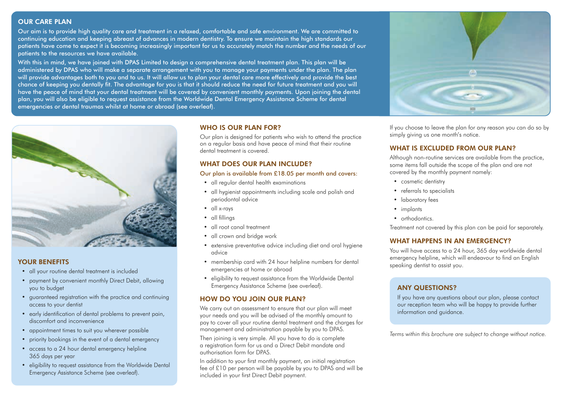## OUR CARE PLAN

Our aim is to provide high quality care and treatment in a relaxed, comfortable and safe environment. We are committed to continuing education and keeping abreast of advances in modern dentistry. To ensure we maintain the high standards our patients have come to expect it is becoming increasingly important for us to accurately match the number and the needs of our patients to the resources we have available.

With this in mind, we have joined with DPAS Limited to design a comprehensive dental treatment plan. This plan will be administered by DPAS who will make a separate arrangement with you to manage your payments under the plan. The plan will provide advantages both to you and to us. It will allow us to plan your dental care more effectively and provide the best chance of keeping you dentally fit. The advantage for you is that it should reduce the need for future treatment and you will have the peace of mind that your dental treatment will be covered by convenient monthly payments. Upon joining the dental plan, you will also be eligible to request assistance from the Worldwide Dental Emergency Assistance Scheme for dental emergencies or dental traumas whilst at home or abroad (see overleaf).



If you choose to leave the plan for any reason you can do so by simply giving us one month's notice.

## WHAT IS EXCLUDED FROM OUR PLAN?

Although non-routine services are available from the practice, some items fall outside the scope of the plan and are not covered by the monthly payment namely:

- cosmetic dentistry
- referrals to specialists
- laboratory fees
- implants
- orthodontics.

Treatment not covered by this plan can be paid for separately.

## WHAT HAPPENS IN AN EMERGENCY?

You will have access to a 24 hour, 365 day worldwide dental emergency helpline, which will endeavour to find an English speaking dentist to assist you.

# ANY QUESTIONS?

If you have any questions about our plan, please contact our reception team who will be happy to provide further information and guidance.

*Terms within this brochure are subject to change without notice.*



# YOUR BENEFITS

- all your routine dental treatment is included
- payment by convenient monthly Direct Debit, allowing you to budget
- guaranteed registration with the practice and continuing access to your dentist
- early identification of dental problems to prevent pain, discomfort and inconvenience
- appointment times to suit you wherever possible
- priority bookings in the event of a dental emergency
- access to a 24 hour dental emergency helpline 365 days per year
- eligibility to request assistance from the Worldwide Dental Emergency Assistance Scheme (see overleaf).

## WHO IS OUR PLAN FOR?

Our plan is designed for patients who wish to attend the practice on a regular basis and have peace of mind that their routine dental treatment is covered.

# WHAT DOES OUR PLAN INCLUDE?

#### Our plan is available from £18.05 per month and covers:

- all regular dental health examinations
- all hygienist appointments including scale and polish and periodontal advice
- all x-rays
- all fillings
- all root canal treatment
- all crown and bridge work
- extensive preventative advice including diet and oral hygiene advice
- membership card with 24 hour helpline numbers for dental emergencies at home or abroad
- eligibility to request assistance from the Worldwide Dental Emergency Assistance Scheme (see overleaf).

# HOW DO YOU JOIN OUR PLAN?

We carry out an assessment to ensure that our plan will meet your needs and you will be advised of the monthly amount to pay to cover all your routine dental treatment and the charges for management and administration payable by you to DPAS.

Then joining is very simple. All you have to do is complete a registration form for us and a Direct Debit mandate and authorisation form for DPAS.

In addition to your first monthly payment, an initial registration fee of £10 per person will be payable by you to DPAS and will be included in your first Direct Debit payment.